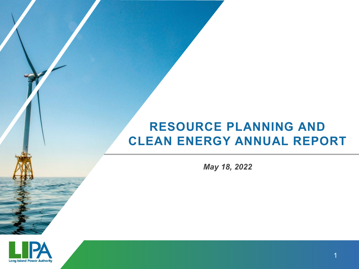# **RESOURCE PLANNING AND CLEAN ENERGY ANNUAL REPORT**

*May 18, 2022*

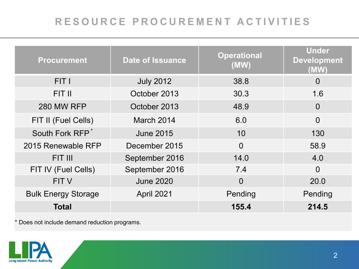## **RESOURCE PROCUREMENT ACTIVITIES**

| <b>Procurement</b>          | <b>Date of Issuance</b> | <b>Operational</b><br>(MW) | <b>Under</b><br><b>Development</b><br>(MW) |
|-----------------------------|-------------------------|----------------------------|--------------------------------------------|
| FIT I                       | <b>July 2012</b>        | 38.8                       | $\Omega$                                   |
| FIT II                      | October 2013            | 30.3                       | 1.6                                        |
| <b>280 MW RFP</b>           | October 2013            | 48.9                       | $\Omega$                                   |
| FIT II (Fuel Cells)         | March 2014              | 6.0                        | $\Omega$                                   |
| South Fork RFP <sup>*</sup> | <b>June 2015</b>        | 10                         | 130                                        |
| 2015 Renewable RFP          | December 2015           | $\Omega$                   | 58.9                                       |
| FIT III                     | September 2016          | 14.0                       | 4.0                                        |
| FIT IV (Fuel Cells)         | September 2016          | 7.4                        | $\Omega$                                   |
| <b>FIT V</b>                | <b>June 2020</b>        | $\overline{0}$             | 20.0                                       |
| <b>Bulk Energy Storage</b>  | April 2021              | Pending                    | Pending                                    |
| Total                       |                         | 155.4                      | 214.5                                      |

\* Does not include demand reduction programs.

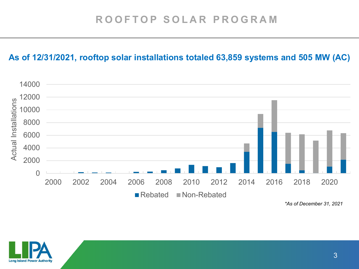### **As of 12/31/2021, rooftop solar installations totaled 63,859 systems and 505 MW (AC)**



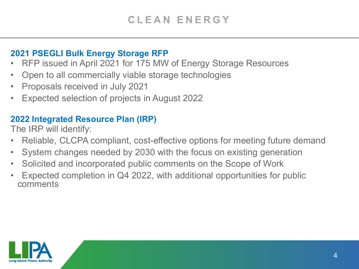### **2021 PSEGLI Bulk Energy Storage RFP**

- RFP issued in April 2021 for 175 MW of Energy Storage Resources
- Open to all commercially viable storage technologies
- Proposals received in July 2021
- Expected selection of projects in August 2022

## **2022 Integrated Resource Plan (IRP)**

The IRP will identify:

- Reliable, CLCPA compliant, cost-effective options for meeting future demand
- System changes needed by 2030 with the focus on existing generation
- Solicited and incorporated public comments on the Scope of Work
- Expected completion in Q4 2022, with additional opportunities for public comments

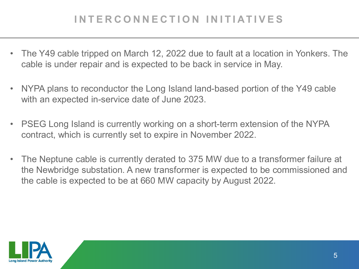## **INTERCONNECTION INITIATIVES**

- The Y49 cable tripped on March 12, 2022 due to fault at a location in Yonkers. The cable is under repair and is expected to be back in service in May.
- NYPA plans to reconductor the Long Island land-based portion of the Y49 cable with an expected in-service date of June 2023.
- PSEG Long Island is currently working on a short-term extension of the NYPA contract, which is currently set to expire in November 2022.
- The Neptune cable is currently derated to 375 MW due to a transformer failure at the Newbridge substation. A new transformer is expected to be commissioned and the cable is expected to be at 660 MW capacity by August 2022.

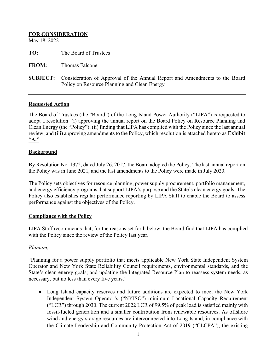| <b>FOR CONSIDERATION</b><br>May 18, 2022 |                                                                                                                            |
|------------------------------------------|----------------------------------------------------------------------------------------------------------------------------|
| TO:                                      | The Board of Trustees                                                                                                      |
| <b>FROM:</b>                             | Thomas Falcone                                                                                                             |
| <b>SUBJECT:</b>                          | Consideration of Approval of the Annual Report and Amendments to the Board<br>Policy on Resource Planning and Clean Energy |

#### **Requested Action**

The Board of Trustees (the "Board") of the Long Island Power Authority ("LIPA") is requested to adopt a resolution: (i) approving the annual report on the Board Policy on Resource Planning and Clean Energy (the "Policy"); (ii) finding that LIPA has complied with the Policy since the last annual review; and (iii) approving amendments to the Policy, which resolution is attached hereto as **Exhibit "A."**

#### **Background**

By Resolution No. 1372, dated July 26, 2017, the Board adopted the Policy. The last annual report on the Policy was in June 2021, and the last amendments to the Policy were made in July 2020.

The Policy sets objectives for resource planning, power supply procurement, portfolio management, and energy efficiency programs that support LIPA's purpose and the State's clean energy goals. The Policy also establishes regular performance reporting by LIPA Staff to enable the Board to assess performance against the objectives of the Policy.

#### **Compliance with the Policy**

LIPA Staff recommends that, for the reasons set forth below, the Board find that LIPA has complied with the Policy since the review of the Policy last year.

#### *Planning*

"Planning for a power supply portfolio that meets applicable New York State Independent System Operator and New York State Reliability Council requirements, environmental standards, and the State's clean energy goals; and updating the Integrated Resource Plan to reassess system needs, as necessary, but no less than every five years."

• Long Island capacity reserves and future additions are expected to meet the New York Independent System Operator's ("NYISO") minimum Locational Capacity Requirement ("LCR") through 2030. The current 2022 LCR of 99.5% of peak load is satisfied mainly with fossil-fueled generation and a smaller contribution from renewable resources. As offshore wind and energy storage resources are interconnected into Long Island, in compliance with the Climate Leadership and Community Protection Act of 2019 ("CLCPA"), the existing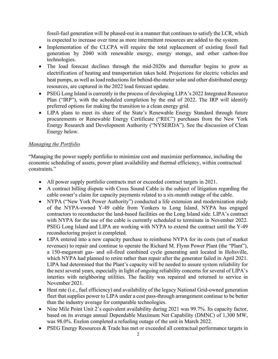fossil-fuel generation will be phased-out in a manner that continues to satisfy the LCR, which is expected to increase over time as more intermittent resources are added to the system.

- Implementation of the CLCPA will require the total replacement of existing fossil fuel generation by 2040 with renewable energy, energy storage, and other carbon-free technologies.
- The load forecast declines through the mid-2020s and thereafter begins to grow as electrification of heating and transportation takes hold. Projections for electric vehicles and heat pumps, as well as load reductions for behind-the-meter solar and other distributed energy resources, are captured in the 2022 load forecast update.
- PSEG Long Island is currently in the process of developing LIPA's 2022 Integrated Resource Plan ("IRP"), with the scheduled completion by the end of 2022. The IRP will identify preferred options for making the transition to a clean energy grid.
- LIPA plans to meet its share of the State's Renewable Energy Standard through future procurements or Renewable Energy Certificate ("REC") purchases from the New York Energy Research and Development Authority ("NYSERDA"). See the discussion of Clean Energy below.

#### *Managing the Portfolio*

"Managing the power supply portfolio to minimize cost and maximize performance, including the economic scheduling of assets, power plant availability and thermal efficiency, within contractual constraints."

- All power supply portfolio contracts met or exceeded contract targets in 2021.
- A contract billing dispute with Cross Sound Cable is the subject of litigation regarding the cable owner's claim for capacity payments related to a six-month outage of the cable.
- NYPA ("New York Power Authority") conducted a life extension and modernization study of the NYPA-owned Y-49 cable from Yonkers to Long Island. NYPA has engaged contractors to reconductor the land-based facilities on the Long Island side. LIPA's contract with NYPA for the use of the cable is currently scheduled to terminate in November 2022. PSEG Long Island and LIPA are working with NYPA to extend the contract until the Y-49 reconductoring project is completed.
- LIPA entered into a new capacity purchase to reimburse NYPA for its costs (net of market revenues) to repair and continue to operate the Richard M. Flynn Power Plant (the "Plant"), a 150-megawatt gas- and oil-fired combined cycle generating unit located in Holtsville, which NYPA had planned to retire rather than repair after the generator failed in April 2021. LIPA had determined that the Plant's capacity will be needed to assure system reliability for the next several years, especially in light of ongoing reliability concerns for several of LIPA's interties with neighboring utilities. The facility was repaired and returned to service in November 2021.
- Heat rate (i.e., fuel efficiency) and availability of the legacy National Grid-owned generation fleet that supplies power to LIPA under a cost pass-through arrangement continue to be better than the industry average for comparable technologies.
- Nine Mile Point Unit 2's equivalent availability during 2021 was 99.7%. Its capacity factor, based on its average annual Dependable Maximum Net Capability (DMNC) of 1,300 MW, was 98.0%. Exelon completed a refueling outage of the unit in March 2022.
- PSEG Energy Resources & Trade has met or exceeded all contractual performance targets in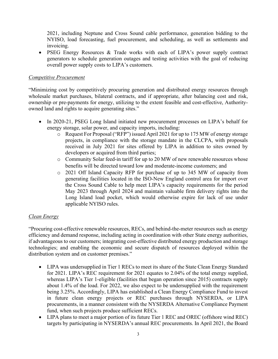2021, including Neptune and Cross Sound cable performance, generation bidding to the NYISO, load forecasting, fuel procurement, and scheduling, as well as settlements and invoicing.

• PSEG Energy Resources & Trade works with each of LIPA's power supply contract generators to schedule generation outages and testing activities with the goal of reducing overall power supply costs to LIPA's customers.

#### *Competitive Procurement*

"Minimizing cost by competitively procuring generation and distributed energy resources through wholesale market purchases, bilateral contracts, and if appropriate, after balancing cost and risk, ownership or pre-payments for energy, utilizing to the extent feasible and cost-effective, Authorityowned land and rights to acquire generating sites."

- In 2020-21, PSEG Long Island initiated new procurement processes on LIPA's behalf for energy storage, solar power, and capacity imports, including:
	- o Request For Proposal ("RFP") issued April 2021 for up to 175 MW of energy storage projects, in compliance with the storage mandate in the CLCPA, with proposals received in July 2021 for sites offered by LIPA in addition to sites owned by developers or acquired from third parties;
	- o Community Solar feed-in tariff for up to 20 MW of new renewable resources whose benefits will be directed toward low and moderate-income customers; and
	- o 2021 Off Island Capacity RFP for purchase of up to 345 MW of capacity from generating facilities located in the ISO-New England control area for import over the Cross Sound Cable to help meet LIPA's capacity requirements for the period May 2023 through April 2024 and maintain valuable firm delivery rights into the Long Island load pocket, which would otherwise expire for lack of use under applicable NYISO rules.

#### *Clean Energy*

"Procuring cost-effective renewable resources, RECs, and behind-the-meter resources such as energy efficiency and demand response, including acting in coordination with other State energy authorities, if advantageous to our customers; integrating cost-effective distributed energy production and storage technologies; and enabling the economic and secure dispatch of resources deployed within the distribution system and on customer premises."

- LIPA was undersupplied in Tier 1 RECs to meet its share of the State Clean Energy Standard for 2021. LIPA's REC requirement for 2021 equates to 2.04% of the total energy supplied, whereas LIPA's Tier 1-eligible (facilities that began operation since 2015) contracts supply about 1.4% of the load. For 2022, we also expect to be undersupplied with the requirement being 3.25%. Accordingly, LIPA has established a Clean Energy Compliance Fund to invest in future clean energy projects or REC purchases through NYSERDA, or LIPA procurements, in a manner consistent with the NYSERDA Alternative Compliance Payment fund, when such projects produce sufficient RECs.
- LIPA plans to meet a major portion of its future Tier 1 REC and OREC (offshore wind REC) targets by participating in NYSERDA's annual REC procurements. In April 2021, the Board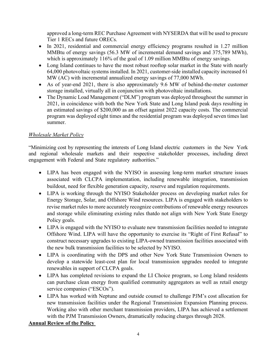approved a long-term REC Purchase Agreement with NYSERDA that will be used to procure Tier 1 RECs and future ORECs.

- In 2021, residential and commercial energy efficiency programs resulted in 1.27 million MMBtu of energy savings (56.3 MW of incremental demand savings and 375,789 MWh), which is approximately 116% of the goal of 1.09 million MMBtu of energy savings.
- Long Island continues to have the most robust rooftop solar market in the State with nearly 64,000 photovoltaic systems installed. In 2021, customer-side installed capacity increased 61 MW (AC) with incremental annualized energy savings of 77,000 MWh.
- As of year-end 2021, there is also approximately 9.6 MW of behind-the-meter customer storage installed, virtually all in conjunction with photovoltaic installations.
- The Dynamic Load Management ("DLM") program was deployed throughout the summer in 2021, in coincidence with both the New York State and Long Island peak days resulting in an estimated savings of \$200,000 as an offset against 2022 capacity costs. The commercial program was deployed eight times and the residential program was deployed seven times last summer.

#### *Wholesale Market Policy*

"Minimizing cost by representing the interests of Long Island electric customers in the New York and regional wholesale markets and their respective stakeholder processes, including direct engagement with Federal and State regulatory authorities."

- LIPA has been engaged with the NYISO in assessing long-term market structure issues associated with CLCPA implementation, including renewable integration, transmission buildout, need for flexible generation capacity, reserve and regulation requirements.
- LIPA is working through the NYISO Stakeholder process on developing market rules for Energy Storage, Solar, and Offshore Wind resources. LIPA is engaged with stakeholders to revise market rules to more accurately recognize contributions of renewable energy resources and storage while eliminating existing rules thatdo not align with New York State Energy Policy goals.
- LIPA is engaged with the NYISO to evaluate new transmission facilities needed to integrate Offshore Wind. LIPA will have the opportunity to exercise its "Right of First Refusal" to construct necessary upgrades to existing LIPA-owned transmission facilities associated with the new bulk transmission facilities to be selected by NYISO.
- LIPA is coordinating with the DPS and other New York State Transmission Owners to develop a statewide least-cost plan for local transmission upgrades needed to integrate renewables in support of CLCPA goals.
- LIPA has completed revisions to expand the LI Choice program, so Long Island residents can purchase clean energy from qualified community aggregators as well as retail energy service companies ("ESCOs").
- LIPA has worked with Neptune and outside counsel to challenge PJM's cost allocation for new transmission facilities under the Regional Transmission Expansion Planning process. Working also with other merchant transmission providers, LIPA has achieved a settlement with the PJM Transmission Owners, dramatically reducing charges through 2028.

#### **Annual Review of the Policy**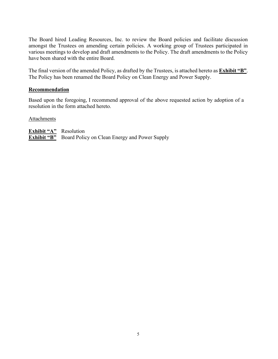The Board hired Leading Resources, Inc. to review the Board policies and facilitate discussion amongst the Trustees on amending certain policies. A working group of Trustees participated in various meetings to develop and draft amendments to the Policy. The draft amendments to the Policy have been shared with the entire Board.

The final version of the amended Policy, as drafted by the Trustees, is attached hereto as **Exhibit "B"**. The Policy has been renamed the Board Policy on Clean Energy and Power Supply.

#### **Recommendation**

Based upon the foregoing, I recommend approval of the above requested action by adoption of a resolution in the form attached hereto.

**Attachments** 

**Exhibit "A"** Resolution **Exhibit "B"** Board Policy on Clean Energy and Power Supply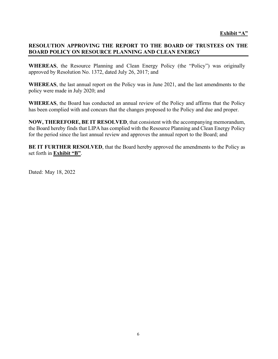#### **RESOLUTION APPROVING THE REPORT TO THE BOARD OF TRUSTEES ON THE BOARD POLICY ON RESOURCE PLANNING AND CLEAN ENERGY**

**WHEREAS**, the Resource Planning and Clean Energy Policy (the "Policy") was originally approved by Resolution No. 1372, dated July 26, 2017; and

**WHEREAS**, the last annual report on the Policy was in June 2021, and the last amendments to the policy were made in July 2020; and

**WHEREAS**, the Board has conducted an annual review of the Policy and affirms that the Policy has been complied with and concurs that the changes proposed to the Policy and due and proper.

**NOW, THEREFORE, BE IT RESOLVED**, that consistent with the accompanying memorandum, the Board hereby finds that LIPA has complied with the Resource Planning and Clean Energy Policy for the period since the last annual review and approves the annual report to the Board; and

**BE IT FURTHER RESOLVED**, that the Board hereby approved the amendments to the Policy as set forth in **Exhibit "B"**.

Dated: May 18, 2022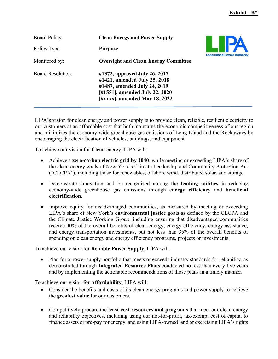| <b>Board Policy:</b>     | <b>Clean Energy and Power Supply</b>                                                                                                                                    |                                    |
|--------------------------|-------------------------------------------------------------------------------------------------------------------------------------------------------------------------|------------------------------------|
| Policy Type:             | <b>Purpose</b>                                                                                                                                                          | <b>Long Island Power Authority</b> |
| Monitored by:            | <b>Oversight and Clean Energy Committee</b>                                                                                                                             |                                    |
| <b>Board Resolution:</b> | #1372, approved July 26, 2017<br>#1421, amended July 25, 2018<br>#1487, amended July 24, 2019<br>[#1551], amended July 22, 2020<br>$[$ #xxxx $]$ , amended May 18, 2022 |                                    |

LIPA's vision for clean energy and power supply is to provide clean, reliable, resilient electricity to our customers at an affordable cost that both maintains the economic competitiveness of our region and minimizes the economy-wide greenhouse gas emissions of Long Island and the Rockaways by encouraging the electrification of vehicles, buildings, and equipment.

To achieve our vision for **Clean** energy, LIPA will:

- Achieve a **zero-carbon electric grid by 2040**, while meeting or exceeding LIPA's share of the clean energy goals of New York's Climate Leadership and Community Protection Act ("CLCPA"), including those for renewables, offshore wind, distributed solar, and storage.
- Demonstrate innovation and be recognized among the **leading utilities** in reducing economy-wide greenhouse gas emissions through **energy efficiency** and **beneficial electrification**.
- Improve equity for disadvantaged communities, as measured by meeting or exceeding LIPA's share of New York's **environmental justice** goals as defined by the CLCPA and the Climate Justice Working Group, including ensuring that disadvantaged communities receive 40% of the overall benefits of clean energy, energy efficiency, energy assistance, and energy transportation investments, but not less than 35% of the overall benefits of spending on clean energy and energy efficiency programs, projects or investments.

To achieve our vision for **Reliable Power Supply**, LIPA will:

• Plan for a power supply portfolio that meets or exceeds industry standards for reliability, as demonstrated through **Integrated Resource Plans** conducted no less than every five years and by implementing the actionable recommendations of those plans in a timely manner.

To achieve our vision for **Affordability**, LIPA will:

- Consider the benefits and costs of its clean energy programs and power supply to achieve the **greatest value** for our customers.
- Competitively procure the **least-cost resources and programs** that meet our clean energy and reliability objectives, including using our not-for-profit, tax-exempt cost of capital to finance assets or pre-pay for energy, and using LIPA-owned land or exercising LIPA's rights